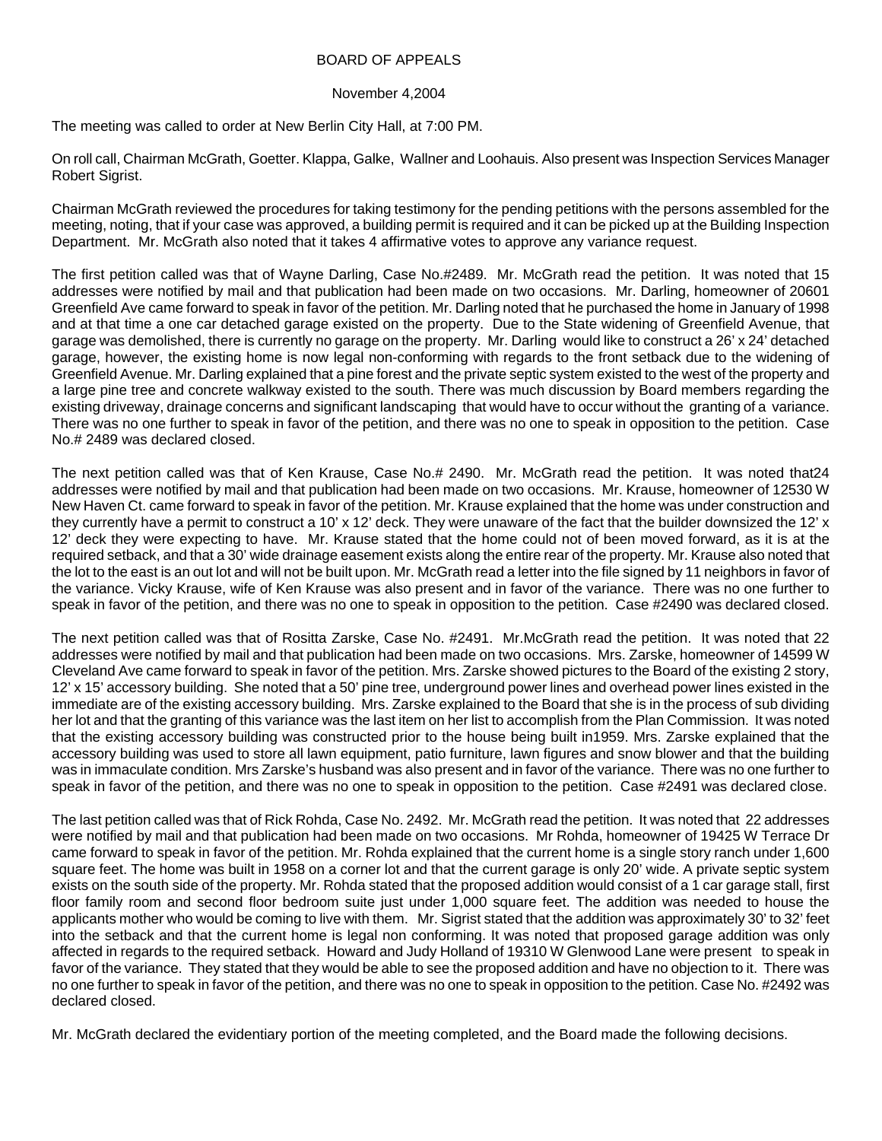## BOARD OF APPEALS

## November 4,2004

The meeting was called to order at New Berlin City Hall, at 7:00 PM.

On roll call, Chairman McGrath, Goetter. Klappa, Galke, Wallner and Loohauis. Also present was Inspection Services Manager Robert Sigrist.

Chairman McGrath reviewed the procedures for taking testimony for the pending petitions with the persons assembled for the meeting, noting, that if your case was approved, a building permit is required and it can be picked up at the Building Inspection Department. Mr. McGrath also noted that it takes 4 affirmative votes to approve any variance request.

The first petition called was that of Wayne Darling, Case No.#2489. Mr. McGrath read the petition. It was noted that 15 addresses were notified by mail and that publication had been made on two occasions. Mr. Darling, homeowner of 20601 Greenfield Ave came forward to speak in favor of the petition. Mr. Darling noted that he purchased the home in January of 1998 and at that time a one car detached garage existed on the property. Due to the State widening of Greenfield Avenue, that garage was demolished, there is currently no garage on the property. Mr. Darling would like to construct a 26' x 24' detached garage, however, the existing home is now legal non-conforming with regards to the front setback due to the widening of Greenfield Avenue. Mr. Darling explained that a pine forest and the private septic system existed to the west of the property and a large pine tree and concrete walkway existed to the south. There was much discussion by Board members regarding the existing driveway, drainage concerns and significant landscaping that would have to occur without the granting of a variance. There was no one further to speak in favor of the petition, and there was no one to speak in opposition to the petition. Case No.# 2489 was declared closed.

The next petition called was that of Ken Krause, Case No.# 2490. Mr. McGrath read the petition. It was noted that24 addresses were notified by mail and that publication had been made on two occasions. Mr. Krause, homeowner of 12530 W New Haven Ct. came forward to speak in favor of the petition. Mr. Krause explained that the home was under construction and they currently have a permit to construct a 10' x 12' deck. They were unaware of the fact that the builder downsized the 12' x 12' deck they were expecting to have. Mr. Krause stated that the home could not of been moved forward, as it is at the required setback, and that a 30' wide drainage easement exists along the entire rear of the property. Mr. Krause also noted that the lot to the east is an out lot and will not be built upon. Mr. McGrath read a letter into the file signed by 11 neighbors in favor of the variance. Vicky Krause, wife of Ken Krause was also present and in favor of the variance. There was no one further to speak in favor of the petition, and there was no one to speak in opposition to the petition. Case #2490 was declared closed.

The next petition called was that of Rositta Zarske, Case No. #2491. Mr.McGrath read the petition. It was noted that 22 addresses were notified by mail and that publication had been made on two occasions. Mrs. Zarske, homeowner of 14599 W Cleveland Ave came forward to speak in favor of the petition. Mrs. Zarske showed pictures to the Board of the existing 2 story, 12' x 15' accessory building. She noted that a 50' pine tree, underground power lines and overhead power lines existed in the immediate are of the existing accessory building. Mrs. Zarske explained to the Board that she is in the process of sub dividing her lot and that the granting of this variance was the last item on her list to accomplish from the Plan Commission. It was noted that the existing accessory building was constructed prior to the house being built in1959. Mrs. Zarske explained that the accessory building was used to store all lawn equipment, patio furniture, lawn figures and snow blower and that the building was in immaculate condition. Mrs Zarske's husband was also present and in favor of the variance. There was no one further to speak in favor of the petition, and there was no one to speak in opposition to the petition. Case #2491 was declared close.

The last petition called was that of Rick Rohda, Case No. 2492. Mr. McGrath read the petition. It was noted that 22 addresses were notified by mail and that publication had been made on two occasions. Mr Rohda, homeowner of 19425 W Terrace Dr came forward to speak in favor of the petition. Mr. Rohda explained that the current home is a single story ranch under 1,600 square feet. The home was built in 1958 on a corner lot and that the current garage is only 20' wide. A private septic system exists on the south side of the property. Mr. Rohda stated that the proposed addition would consist of a 1 car garage stall, first floor family room and second floor bedroom suite just under 1,000 square feet. The addition was needed to house the applicants mother who would be coming to live with them. Mr. Sigrist stated that the addition was approximately 30' to 32' feet into the setback and that the current home is legal non conforming. It was noted that proposed garage addition was only affected in regards to the required setback. Howard and Judy Holland of 19310 W Glenwood Lane were present to speak in favor of the variance. They stated that they would be able to see the proposed addition and have no objection to it. There was no one further to speak in favor of the petition, and there was no one to speak in opposition to the petition. Case No. #2492 was declared closed.

Mr. McGrath declared the evidentiary portion of the meeting completed, and the Board made the following decisions.